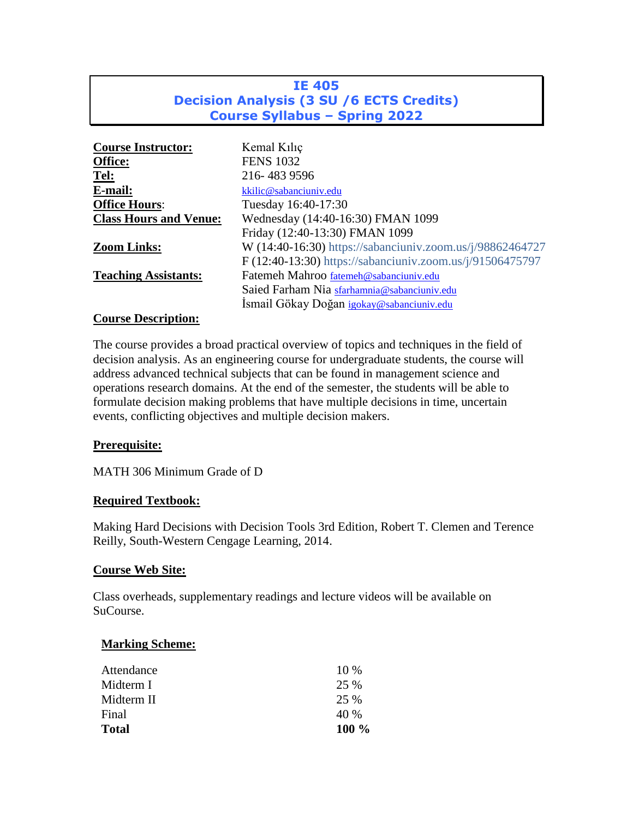# **IE 405 Decision Analysis (3 SU /6 ECTS Credits) Course Syllabus – Spring 2022**

| <b>Course Instructor:</b>     | Kemal Kiliç                                               |
|-------------------------------|-----------------------------------------------------------|
| Office:                       | <b>FENS 1032</b>                                          |
| Tel:                          | 216-483 9596                                              |
| E-mail:                       | kkilic@sabanciuniv.edu                                    |
| <b>Office Hours:</b>          | Tuesday 16:40-17:30                                       |
| <b>Class Hours and Venue:</b> | Wednesday (14:40-16:30) FMAN 1099                         |
|                               | Friday (12:40-13:30) FMAN 1099                            |
| <b>Zoom Links:</b>            | W (14:40-16:30) https://sabanciuniv.zoom.us/j/98862464727 |
|                               | F (12:40-13:30) https://sabanciuniv.zoom.us/j/91506475797 |
| <b>Teaching Assistants:</b>   | Fatemeh Mahroo fatemeh@sabanciuniv.edu                    |
|                               | Saied Farham Nia sfarhamnia@sabanciuniv.edu               |
|                               | Ismail Gökay Doğan igokay@sabanciuniv.edu                 |
| $\sim$                        |                                                           |

#### **Course Description:**

The course provides a broad practical overview of topics and techniques in the field of decision analysis. As an engineering course for undergraduate students, the course will address advanced technical subjects that can be found in management science and operations research domains. At the end of the semester, the students will be able to formulate decision making problems that have multiple decisions in time, uncertain events, conflicting objectives and multiple decision makers.

## **Prerequisite:**

MATH 306 Minimum Grade of D

## **Required Textbook:**

Making Hard Decisions with Decision Tools 3rd Edition, Robert T. Clemen and Terence Reilly, South-Western Cengage Learning, 2014.

#### **Course Web Site:**

Class overheads, supplementary readings and lecture videos will be available on SuCourse.

#### **Marking Scheme:**

| Attendance   | $10\%$  |
|--------------|---------|
| Midterm I    | 25 %    |
| Midterm II   | 25 %    |
| Final        | 40 %    |
| <b>Total</b> | $100\%$ |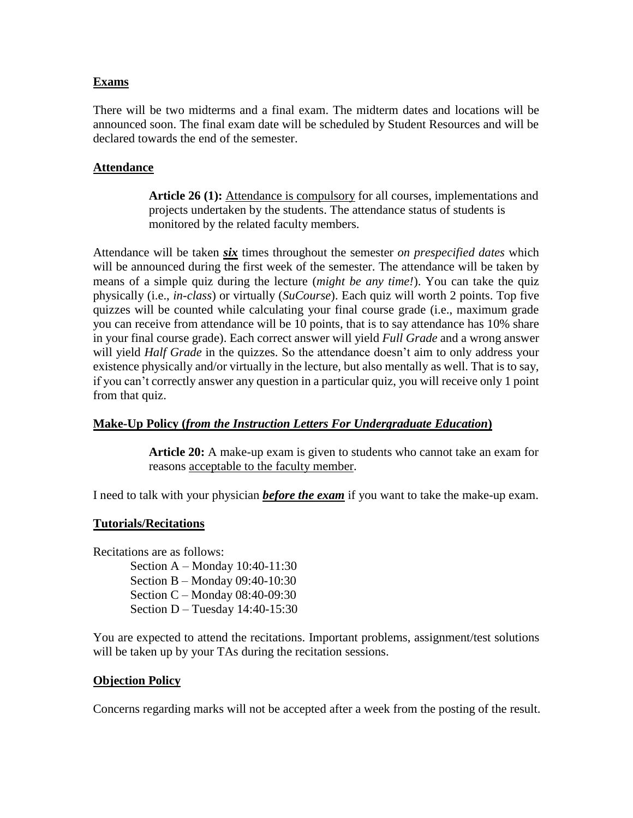### **Exams**

There will be two midterms and a final exam. The midterm dates and locations will be announced soon. The final exam date will be scheduled by Student Resources and will be declared towards the end of the semester.

## **Attendance**

**Article 26 (1):** Attendance is compulsory for all courses, implementations and projects undertaken by the students. The attendance status of students is monitored by the related faculty members.

Attendance will be taken *six* times throughout the semester *on prespecified dates* which will be announced during the first week of the semester. The attendance will be taken by means of a simple quiz during the lecture (*might be any time!*). You can take the quiz physically (i.e., *in-class*) or virtually (*SuCourse*). Each quiz will worth 2 points. Top five quizzes will be counted while calculating your final course grade (i.e., maximum grade you can receive from attendance will be 10 points, that is to say attendance has 10% share in your final course grade). Each correct answer will yield *Full Grade* and a wrong answer will yield *Half Grade* in the quizzes. So the attendance doesn't aim to only address your existence physically and/or virtually in the lecture, but also mentally as well. That is to say, if you can't correctly answer any question in a particular quiz, you will receive only 1 point from that quiz.

## **Make-Up Policy (***from the Instruction Letters For Undergraduate Education***)**

**Article 20:** A make-up exam is given to students who cannot take an exam for reasons acceptable to the faculty member.

I need to talk with your physician *before the exam* if you want to take the make-up exam.

#### **Tutorials/Recitations**

Recitations are as follows:

Section A – Monday 10:40-11:30 Section B – Monday 09:40-10:30 Section C – Monday 08:40-09:30 Section D – Tuesday 14:40-15:30

You are expected to attend the recitations. Important problems, assignment/test solutions will be taken up by your TAs during the recitation sessions.

#### **Objection Policy**

Concerns regarding marks will not be accepted after a week from the posting of the result.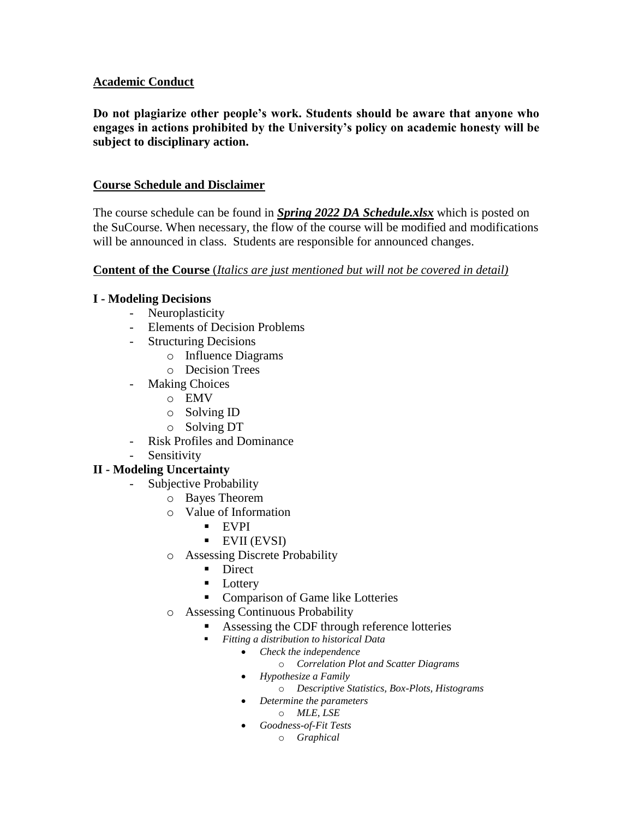### **Academic Conduct**

**Do not plagiarize other people's work. Students should be aware that anyone who engages in actions prohibited by the University's policy on academic honesty will be subject to disciplinary action.**

### **Course Schedule and Disclaimer**

The course schedule can be found in *Spring 2022 DA Schedule.xlsx* which is posted on the SuCourse. When necessary, the flow of the course will be modified and modifications will be announced in class. Students are responsible for announced changes.

### **Content of the Course** (*Italics are just mentioned but will not be covered in detail)*

### **I - Modeling Decisions**

- Neuroplasticity
- Elements of Decision Problems
- Structuring Decisions
	- o Influence Diagrams
	- o Decision Trees
- Making Choices
	- o EMV
	- o Solving ID
	- o Solving DT
- Risk Profiles and Dominance
- Sensitivity

## **II - Modeling Uncertainty**

- Subjective Probability
	- o Bayes Theorem
	- o Value of Information
		- $EVPI$
		- **EVII (EVSI)**
	- o Assessing Discrete Probability
		- **Direct**
		- **Lottery**
		- **Comparison of Game like Lotteries**
	- o Assessing Continuous Probability
		- Assessing the CDF through reference lotteries
		- *Fitting a distribution to historical Data*
			- *Check the independence*
				- o *Correlation Plot and Scatter Diagrams*
			- *Hypothesize a Family*
				- o *Descriptive Statistics, Box-Plots, Histograms*
			- *Determine the parameters*
				- o *MLE, LSE*
			- *Goodness-of-Fit Tests*
				- o *Graphical*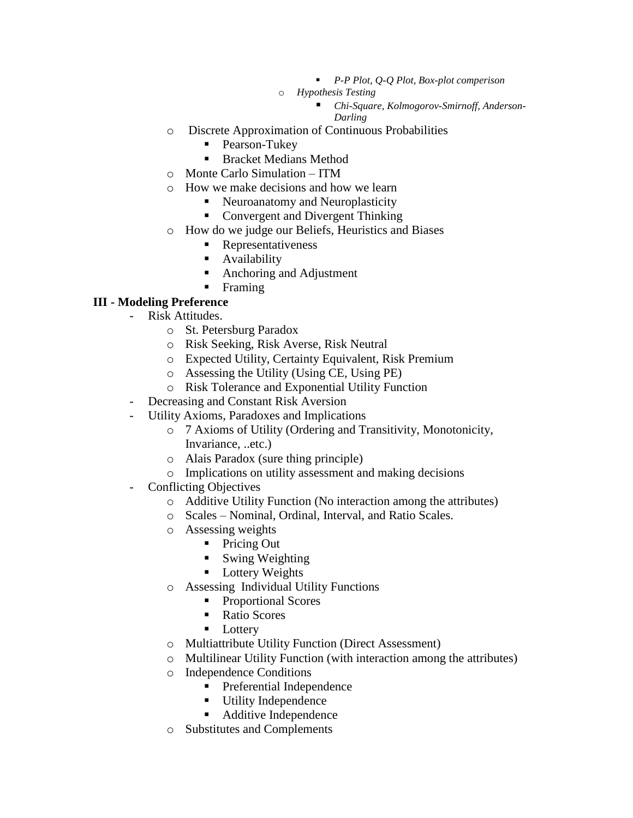- *P-P Plot, Q-Q Plot, Box-plot comperison*
- o *Hypothesis Testing*
	- *Chi-Square, Kolmogorov-Smirnoff, Anderson-Darling*
- o Discrete Approximation of Continuous Probabilities
	- **Pearson-Tukey**
	- **Bracket Medians Method**
- o Monte Carlo Simulation ITM
- o How we make decisions and how we learn
	- Neuroanatomy and Neuroplasticity
	- Convergent and Divergent Thinking
- o How do we judge our Beliefs, Heuristics and Biases
	- **Representativeness**
	- **Availability**
	- Anchoring and Adjustment
	- Framing

#### **III - Modeling Preference**

- Risk Attitudes.
	- o St. Petersburg Paradox
	- o Risk Seeking, Risk Averse, Risk Neutral
	- o Expected Utility, Certainty Equivalent, Risk Premium
	- o Assessing the Utility (Using CE, Using PE)
	- o Risk Tolerance and Exponential Utility Function
- Decreasing and Constant Risk Aversion
- Utility Axioms, Paradoxes and Implications
	- o 7 Axioms of Utility (Ordering and Transitivity, Monotonicity, Invariance, ..etc.)
	- o Alais Paradox (sure thing principle)
	- o Implications on utility assessment and making decisions
- Conflicting Objectives
	- o Additive Utility Function (No interaction among the attributes)
	- o Scales Nominal, Ordinal, Interval, and Ratio Scales.
	- o Assessing weights
		- Pricing Out
		- Swing Weighting
		- **Lottery Weights**
	- o Assessing Individual Utility Functions
		- Proportional Scores
		- Ratio Scores
		- **Lottery**
	- o Multiattribute Utility Function (Direct Assessment)
	- o Multilinear Utility Function (with interaction among the attributes)
	- o Independence Conditions
		- **Preferential Independence**
		- **Utility Independence**
		- Additive Independence
	- o Substitutes and Complements